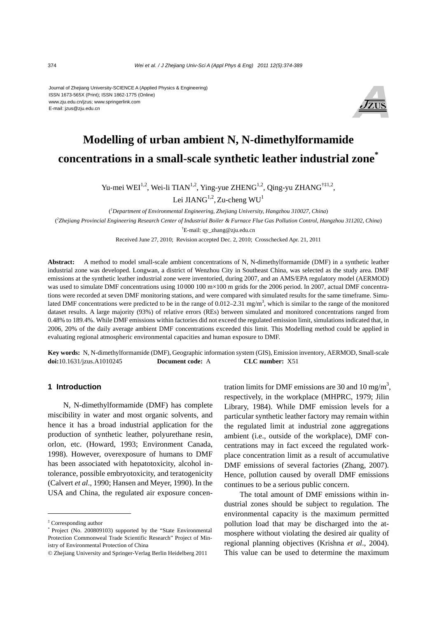#### Journal of Zhejiang University-SCIENCE A (Applied Physics & Engineering) ISSN 1673-565X (Print); ISSN 1862-1775 (Online) www.zju.edu.cn/jzus; www.springerlink.com E-mail: jzus@zju.edu.cn



# **Modelling of urban ambient N, N-dimethylformamide concentrations in a small-scale synthetic leather industrial zone\***

Yu-mei WEI<sup>1,2</sup>, Wei-li TIAN<sup>1,2</sup>, Ying-yue ZHENG<sup>1,2</sup>, Qing-yu ZHANG<sup>†‡1,2</sup>, Lei JIAN $G^{1,2}$ , Zu-cheng WU<sup>1</sup>

( *1 Department of Environmental Engineering, Zhejiang University, Hangzhou 310027, China*) ( *2 Zhejiang Provincial Engineering Research Center of Industrial Boiler & Furnace Flue Gas Pollution Control, Hangzhou 311202, China*) † E-mail: qy\_zhang@zju.edu.cn

Received June 27, 2010; Revision accepted Dec. 2, 2010; Crosschecked Apr. 21, 2011

**Abstract:** A method to model small-scale ambient concentrations of N, N-dimethylformamide (DMF) in a synthetic leather industrial zone was developed. Longwan, a district of Wenzhou City in Southeast China, was selected as the study area. DMF emissions at the synthetic leather industrial zone were inventoried, during 2007, and an AMS/EPA regulatory model (AERMOD) was used to simulate DMF concentrations using 10000 100 m×100 m grids for the 2006 period. In 2007, actual DMF concentrations were recorded at seven DMF monitoring stations, and were compared with simulated results for the same timeframe. Simulated DMF concentrations were predicted to be in the range of  $0.012-2.31$  mg/m<sup>3</sup>, which is similar to the range of the monitored dataset results. A large majority (93%) of relative errors (REs) between simulated and monitored concentrations ranged from 0.48% to 189.4%. While DMF emissions within factories did not exceed the regulated emission limit, simulations indicated that, in 2006, 20% of the daily average ambient DMF concentrations exceeded this limit. This Modelling method could be applied in evaluating regional atmospheric environmental capacities and human exposure to DMF.

**Key words:** N, N-dimethylformamide (DMF), Geographic information system (GIS), Emission inventory, AERMOD, Small-scale **doi:**10.1631/jzus.A1010245 **Document code:** A **CLC number:** X51

## **1 Introduction**

N, N-dimethylformamide (DMF) has complete miscibility in water and most organic solvents, and hence it has a broad industrial application for the production of synthetic leather, polyurethane resin, orlon, etc. (Howard, 1993; Environment Canada, 1998). However, overexposure of humans to DMF has been associated with hepatotoxicity, alcohol intolerance, possible embryotoxicity, and teratogenicity (Calvert *et al*., 1990; Hansen and Meyer, 1990). In the USA and China, the regulated air exposure concen-

tration limits for DMF emissions are 30 and 10 mg/m<sup>3</sup>, respectively, in the workplace (MHPRC, 1979; Jilin Library, 1984). While DMF emission levels for a particular synthetic leather factory may remain within the regulated limit at industrial zone aggregations ambient (i.e., outside of the workplace), DMF concentrations may in fact exceed the regulated workplace concentration limit as a result of accumulative DMF emissions of several factories (Zhang, 2007). Hence, pollution caused by overall DMF emissions continues to be a serious public concern.

The total amount of DMF emissions within industrial zones should be subject to regulation. The environmental capacity is the maximum permitted pollution load that may be discharged into the atmosphere without violating the desired air quality of regional planning objectives (Krishna *et al*., 2004). This value can be used to determine the maximum

<sup>‡</sup> Corresponding author

Project (No. 200809103) supported by the "State Environmental Protection Commonweal Trade Scientific Research" Project of Ministry of Environmental Protection of China

<sup>©</sup> Zhejiang University and Springer-Verlag Berlin Heidelberg 2011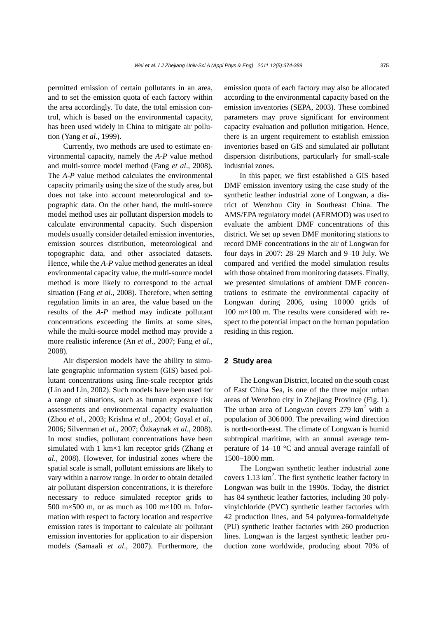permitted emission of certain pollutants in an area, and to set the emission quota of each factory within the area accordingly. To date, the total emission control, which is based on the environmental capacity, has been used widely in China to mitigate air pollution (Yang *et al*., 1999).

Currently, two methods are used to estimate environmental capacity, namely the *A*-*P* value method and multi-source model method (Fang *et al*., 2008). The *A*-*P* value method calculates the environmental capacity primarily using the size of the study area, but does not take into account meteorological and topographic data. On the other hand, the multi-source model method uses air pollutant dispersion models to calculate environmental capacity. Such dispersion models usually consider detailed emission inventories, emission sources distribution, meteorological and topographic data, and other associated datasets. Hence, while the *A*-*P* value method generates an ideal environmental capacity value, the multi-source model method is more likely to correspond to the actual situation (Fang *et al*., 2008). Therefore, when setting regulation limits in an area, the value based on the results of the *A*-*P* method may indicate pollutant concentrations exceeding the limits at some sites, while the multi-source model method may provide a more realistic inference (An *et al*., 2007; Fang *et al*., 2008).

Air dispersion models have the ability to simulate geographic information system (GIS) based pollutant concentrations using fine-scale receptor grids (Lin and Lin, 2002). Such models have been used for a range of situations, such as human exposure risk assessments and environmental capacity evaluation (Zhou *et al*., 2003; Krishna *et al*., 2004; Goyal *et al*., 2006; Silverman *et al*., 2007; Őzkaynak *et al*., 2008). In most studies, pollutant concentrations have been simulated with 1 km×1 km receptor grids (Zhang *et al*., 2008). However, for industrial zones where the spatial scale is small, pollutant emissions are likely to vary within a narrow range. In order to obtain detailed air pollutant dispersion concentrations, it is therefore necessary to reduce simulated receptor grids to 500 m×500 m, or as much as 100 m×100 m. Information with respect to factory location and respective emission rates is important to calculate air pollutant emission inventories for application to air dispersion models (Samaali *et al*., 2007). Furthermore, the emission quota of each factory may also be allocated according to the environmental capacity based on the emission inventories (SEPA, 2003). These combined parameters may prove significant for environment capacity evaluation and pollution mitigation. Hence, there is an urgent requirement to establish emission inventories based on GIS and simulated air pollutant dispersion distributions, particularly for small-scale industrial zones.

In this paper, we first established a GIS based DMF emission inventory using the case study of the synthetic leather industrial zone of Longwan, a district of Wenzhou City in Southeast China. The AMS/EPA regulatory model (AERMOD) was used to evaluate the ambient DMF concentrations of this district. We set up seven DMF monitoring stations to record DMF concentrations in the air of Longwan for four days in 2007: 28–29 March and 9–10 July. We compared and verified the model simulation results with those obtained from monitoring datasets. Finally, we presented simulations of ambient DMF concentrations to estimate the environmental capacity of Longwan during 2006, using 10000 grids of 100 m×100 m. The results were considered with respect to the potential impact on the human population residing in this region.

# **2 Study area**

The Longwan District, located on the south coast of East China Sea, is one of the three major urban areas of Wenzhou city in Zhejiang Province (Fig. 1). The urban area of Longwan covers  $279 \text{ km}^2$  with a population of 306000. The prevailing wind direction is north-north-east. The climate of Longwan is humid subtropical maritime, with an annual average temperature of 14–18 °C and annual average rainfall of 1500–1800 mm.

The Longwan synthetic leather industrial zone covers  $1.13 \text{ km}^2$ . The first synthetic leather factory in Longwan was built in the 1990s. Today, the district has 84 synthetic leather factories, including 30 polyvinylchloride (PVC) synthetic leather factories with 42 production lines, and 54 polyurea-formaldehyde (PU) synthetic leather factories with 260 production lines. Longwan is the largest synthetic leather production zone worldwide, producing about 70% of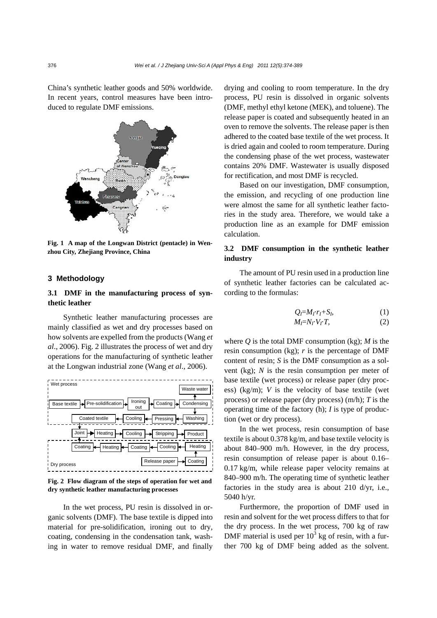China's synthetic leather goods and 50% worldwide. In recent years, control measures have been introduced to regulate DMF emissions.



**Fig. 1 A map of the Longwan District (pentacle) in Wenzhou City, Zhejiang Province, China** 

# **3 Methodology**

# **3.1 DMF in the manufacturing process of synthetic leather**

Synthetic leather manufacturing processes are mainly classified as wet and dry processes based on how solvents are expelled from the products (Wang *et al*., 2006). Fig. 2 illustrates the process of wet and dry operations for the manufacturing of synthetic leather at the Longwan industrial zone (Wang *et al*., 2006).



**Fig. 2 Flow diagram of the steps of operation for wet and dry synthetic leather manufacturing processes** 

In the wet process, PU resin is dissolved in organic solvents (DMF). The base textile is dipped into material for pre-solidification, ironing out to dry, coating, condensing in the condensation tank, washing in water to remove residual DMF, and finally drying and cooling to room temperature. In the dry process, PU resin is dissolved in organic solvents (DMF, methyl ethyl ketone (MEK), and toluene). The release paper is coated and subsequently heated in an oven to remove the solvents. The release paper is then adhered to the coated base textile of the wet process. It is dried again and cooled to room temperature. During the condensing phase of the wet process, wastewater contains 20% DMF. Wastewater is usually disposed for rectification, and most DMF is recycled.

Based on our investigation, DMF consumption, the emission, and recycling of one production line were almost the same for all synthetic leather factories in the study area. Therefore, we would take a production line as an example for DMF emission calculation.

## **3.2 DMF consumption in the synthetic leather industry**

The amount of PU resin used in a production line of synthetic leather factories can be calculated according to the formulas:

$$
Q_i = M_\Gamma r_i + S_i,\tag{1}
$$
  

$$
M_i = N_\Gamma V_r T,\tag{2}
$$

where  $Q$  is the total DMF consumption (kg);  $M$  is the resin consumption  $(kg)$ ; *r* is the percentage of DMF content of resin; *S* is the DMF consumption as a solvent (kg); *N* is the resin consumption per meter of base textile (wet process) or release paper (dry process) (kg/m); *V* is the velocity of base textile (wet process) or release paper (dry process) (m/h); *T* is the operating time of the factory (h); *I* is type of production (wet or dry process).

In the wet process, resin consumption of base textile is about 0.378 kg/m, and base textile velocity is about 840–900 m/h. However, in the dry process, resin consumption of release paper is about 0.16– 0.17 kg/m, while release paper velocity remains at 840–900 m/h. The operating time of synthetic leather factories in the study area is about 210 d/yr, i.e., 5040 h/yr.

Furthermore, the proportion of DMF used in resin and solvent for the wet process differs to that for the dry process. In the wet process, 700 kg of raw DMF material is used per  $10^3$  kg of resin, with a further 700 kg of DMF being added as the solvent.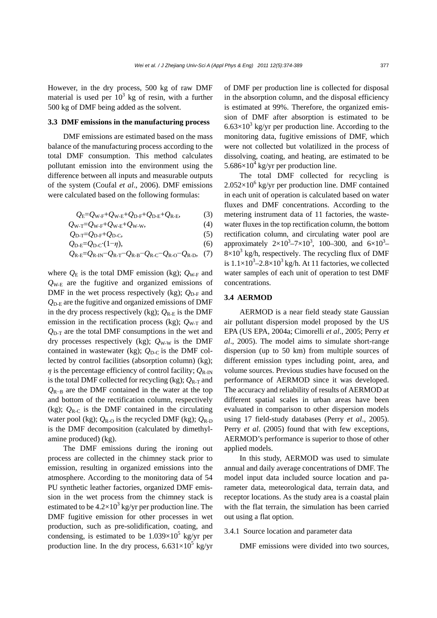However, in the dry process, 500 kg of raw DMF material is used per  $10^3$  kg of resin, with a further 500 kg of DMF being added as the solvent.

## **3.3 DMF emissions in the manufacturing process**

DMF emissions are estimated based on the mass balance of the manufacturing process according to the total DMF consumption. This method calculates pollutant emission into the environment using the difference between all inputs and measurable outputs of the system (Coufal *et al*., 2006). DMF emissions were calculated based on the following formulas:

$$
Q_{\rm E} = Q_{\rm W\text{-}F} + Q_{\rm W\text{-}E} + Q_{\rm D\text{-}F} + Q_{\rm D\text{-}E} + Q_{\rm R\text{-}E},\tag{3}
$$

$$
Q_{\text{W-T}} = Q_{\text{W-F}} + Q_{\text{W-E}} + Q_{\text{W-W}},\tag{4}
$$

$$
Q_{\text{D-T}} = Q_{\text{D-F}} + Q_{\text{D-C}}, \tag{5}
$$
\n
$$
Q_{\text{D-F}} = Q_{\text{D-C}} \cdot (1 - n). \tag{6}
$$

$$
Q_{R-E}=Q_{R-IN}-Q_{R-T}-Q_{R-B}-Q_{R-C}-Q_{R-O}-Q_{R-D}
$$
, (7)

where  $Q_{\rm E}$  is the total DMF emission (kg);  $Q_{\rm W\text{-}F}$  and *Q*W-E are the fugitive and organized emissions of DMF in the wet process respectively (kg);  $Q_{D-F}$  and  $Q_{\text{D-E}}$  are the fugitive and organized emissions of DMF in the dry process respectively (kg);  $Q_{\text{R-E}}$  is the DMF emission in the rectification process (kg);  $Q_{W-T}$  and  $Q_{D-T}$  are the total DMF consumptions in the wet and dry processes respectively (kg);  $Q_{\text{W-W}}$  is the DMF contained in wastewater (kg);  $Q_{D-C}$  is the DMF collected by control facilities (absorption column) (kg);  $\eta$  is the percentage efficiency of control facility;  $Q_{\text{R-IN}}$ is the total DMF collected for recycling (kg);  $Q_{R-T}$  and  $Q_{R-R}$  are the DMF contained in the water at the top and bottom of the rectification column, respectively (kg);  $Q_{\text{R-C}}$  is the DMF contained in the circulating water pool (kg);  $Q_{R-O}$  is the recycled DMF (kg);  $Q_{R-D}$ is the DMF decomposition (calculated by dimethylamine produced) (kg).

The DMF emissions during the ironing out process are collected in the chimney stack prior to emission, resulting in organized emissions into the atmosphere. According to the monitoring data of 54 PU synthetic leather factories, organized DMF emission in the wet process from the chimney stack is estimated to be  $4.2 \times 10^3$  kg/yr per production line. The DMF fugitive emission for other processes in wet production, such as pre-solidification, coating, and condensing, is estimated to be  $1.039\times10^5$  kg/yr per production line. In the dry process,  $6.631 \times 10^5$  kg/yr of DMF per production line is collected for disposal in the absorption column, and the disposal efficiency is estimated at 99%. Therefore, the organized emission of DMF after absorption is estimated to be  $6.63\times10^3$  kg/yr per production line. According to the monitoring data, fugitive emissions of DMF, which were not collected but volatilized in the process of dissolving, coating, and heating, are estimated to be 5.686 $\times$ 10<sup>4</sup> kg/yr per production line.

The total DMF collected for recycling is  $2.052\times10^{6}$  kg/yr per production line. DMF contained in each unit of operation is calculated based on water fluxes and DMF concentrations. According to the metering instrument data of 11 factories, the wastewater fluxes in the top rectification column, the bottom rectification column, and circulating water pool are approximately  $2 \times 10^3 - 7 \times 10^3$ , 100-300, and  $6 \times 10^3$ - $8\times10^{3}$  kg/h, respectively. The recycling flux of DMF is  $1.1 \times 10^3 - 2.8 \times 10^3$  kg/h. At 11 factories, we collected water samples of each unit of operation to test DMF concentrations.

# **3.4 AERMOD**

AERMOD is a near field steady state Gaussian air pollutant dispersion model proposed by the US EPA (US EPA, 2004a; Cimorelli *et al*., 2005; Perry *et al*., 2005). The model aims to simulate short-range dispersion (up to 50 km) from multiple sources of different emission types including point, area, and volume sources. Previous studies have focused on the performance of AERMOD since it was developed. The accuracy and reliability of results of AERMOD at different spatial scales in urban areas have been evaluated in comparison to other dispersion models using 17 field-study databases (Perry *et al*., 2005). Perry *et al.* (2005) found that with few exceptions, AERMOD's performance is superior to those of other applied models.

In this study, AERMOD was used to simulate annual and daily average concentrations of DMF. The model input data included source location and parameter data, meteorological data, terrain data, and receptor locations. As the study area is a coastal plain with the flat terrain, the simulation has been carried out using a flat option.

## 3.4.1 Source location and parameter data

DMF emissions were divided into two sources,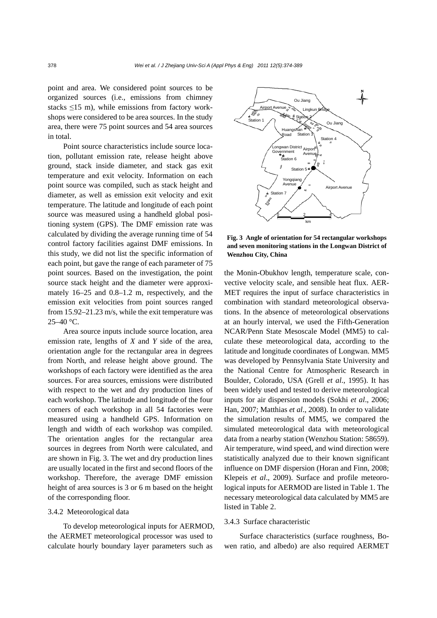point and area. We considered point sources to be organized sources (i.e., emissions from chimney stacks  $\leq$ 15 m), while emissions from factory workshops were considered to be area sources. In the study area, there were 75 point sources and 54 area sources in total.

Point source characteristics include source location, pollutant emission rate, release height above ground, stack inside diameter, and stack gas exit temperature and exit velocity. Information on each point source was compiled, such as stack height and diameter, as well as emission exit velocity and exit temperature. The latitude and longitude of each point source was measured using a handheld global positioning system (GPS). The DMF emission rate was calculated by dividing the average running time of 54 control factory facilities against DMF emissions. In this study, we did not list the specific information of each point, but gave the range of each parameter of 75 point sources. Based on the investigation, the point source stack height and the diameter were approximately 16–25 and 0.8–1.2 m, respectively, and the emission exit velocities from point sources ranged from 15.92–21.23 m/s, while the exit temperature was  $25-40$  °C.

Area source inputs include source location, area emission rate, lengths of *X* and *Y* side of the area, orientation angle for the rectangular area in degrees from North, and release height above ground. The workshops of each factory were identified as the area sources. For area sources, emissions were distributed with respect to the wet and dry production lines of each workshop. The latitude and longitude of the four corners of each workshop in all 54 factories were measured using a handheld GPS. Information on length and width of each workshop was compiled. The orientation angles for the rectangular area sources in degrees from North were calculated, and are shown in Fig. 3. The wet and dry production lines are usually located in the first and second floors of the workshop. Therefore, the average DMF emission height of area sources is 3 or 6 m based on the height of the corresponding floor.

## 3.4.2 Meteorological data

To develop meteorological inputs for AERMOD, the AERMET meteorological processor was used to calculate hourly boundary layer parameters such as



**Fig. 3 Angle of orientation for 54 rectangular workshops and seven monitoring stations in the Longwan District of Wenzhou City, China** 

the Monin-Obukhov length, temperature scale, convective velocity scale, and sensible heat flux. AER-MET requires the input of surface characteristics in combination with standard meteorological observations. In the absence of meteorological observations at an hourly interval, we used the Fifth-Generation NCAR/Penn State Mesoscale Model (MM5) to calculate these meteorological data, according to the latitude and longitude coordinates of Longwan. MM5 was developed by Pennsylvania State University and the National Centre for Atmospheric Research in Boulder, Colorado, USA (Grell *et al*., 1995). It has been widely used and tested to derive meteorological inputs for air dispersion models (Sokhi *et al*., 2006; Han, 2007; Matthias *et al*., 2008). In order to validate the simulation results of MM5, we compared the simulated meteorological data with meteorological data from a nearby station (Wenzhou Station: 58659). Air temperature, wind speed, and wind direction were statistically analyzed due to their known significant influence on DMF dispersion (Horan and Finn, 2008; Klepeis *et al*., 2009). Surface and profile meteorological inputs for AERMOD are listed in Table 1. The necessary meteorological data calculated by MM5 are listed in Table 2.

## 3.4.3 Surface characteristic

Surface characteristics (surface roughness, Bowen ratio, and albedo) are also required AERMET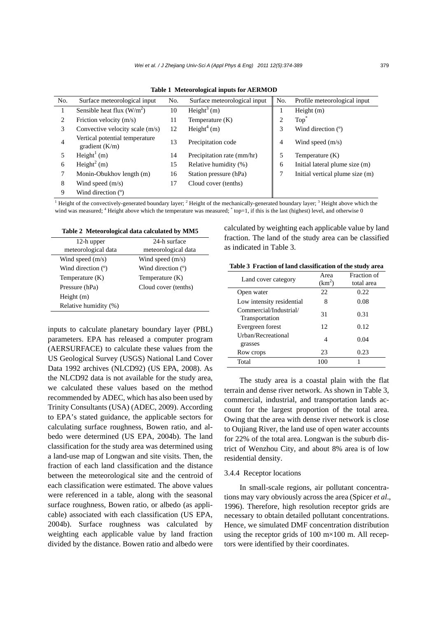| No. | Surface meteorological input                       | No. | Surface meteorological input | No.            | Profile meteorological input    |
|-----|----------------------------------------------------|-----|------------------------------|----------------|---------------------------------|
|     | Sensible heat flux $(W/m^2)$                       | 10  | Height <sup>3</sup> (m)      | 1              | Height $(m)$                    |
| 2   | Friction velocity $(m/s)$                          | 11  | Temperature $(K)$            | $\overline{2}$ | $\text{Top}^*$                  |
| 3   | Convective velocity scale $(m/s)$                  | 12  | Height <sup>4</sup> (m)      | 3              | Wind direction $(°)$            |
| 4   | Vertical potential temperature<br>gradient $(K/m)$ | 13  | Precipitation code           | 4              | Wind speed $(m/s)$              |
|     | Height <sup>1</sup> (m)                            | 14  | Precipitation rate (mm/hr)   | 5              | Temperature $(K)$               |
| 6   | Height <sup>2</sup> (m)                            | 15  | Relative humidity (%)        | 6              | Initial lateral plume size (m)  |
|     | Monin-Obukhov length (m)                           | 16  | Station pressure (hPa)       | 7              | Initial vertical plume size (m) |
| 8   | Wind speed $(m/s)$                                 | 17  | Cloud cover (tenths)         |                |                                 |
| 9   | Wind direction $(°)$                               |     |                              |                |                                 |

**Table 1 Meteorological inputs for AERMOD**

<sup>1</sup> Height of the convectively-generated boundary layer;  ${}^{2}$  Height of the mechanically-generated boundary layer;  ${}^{3}$  Height above which the wind was measured; <sup>4</sup> Height above which the temperature was measured;  $*$  top=1, if this is the last (highest) level, and otherwise 0

| Table 2 Meteorological data calculated by MM5 |  |  |  |
|-----------------------------------------------|--|--|--|
|-----------------------------------------------|--|--|--|

| 12-h upper            | 24-h surface         |
|-----------------------|----------------------|
| meteorological data   | meteorological data  |
| Wind speed $(m/s)$    | Wind speed $(m/s)$   |
| Wind direction (°)    | Wind direction (°)   |
| Temperature $(K)$     | Temperature (K)      |
| Pressure (hPa)        | Cloud cover (tenths) |
| Height $(m)$          |                      |
| Relative humidity (%) |                      |

inputs to calculate planetary boundary layer (PBL) parameters. EPA has released a computer program (AERSURFACE) to calculate these values from the US Geological Survey (USGS) National Land Cover Data 1992 archives (NLCD92) (US EPA, 2008). As the NLCD92 data is not available for the study area, we calculated these values based on the method recommended by ADEC, which has also been used by Trinity Consultants (USA) (ADEC, 2009). According to EPA's stated guidance, the applicable sectors for calculating surface roughness, Bowen ratio, and albedo were determined (US EPA, 2004b). The land classification for the study area was determined using a land-use map of Longwan and site visits. Then, the fraction of each land classification and the distance between the meteorological site and the centroid of each classification were estimated. The above values were referenced in a table, along with the seasonal surface roughness, Bowen ratio, or albedo (as applicable) associated with each classification (US EPA, 2004b). Surface roughness was calculated by weighting each applicable value by land fraction divided by the distance. Bowen ratio and albedo were

calculated by weighting each applicable value by land fraction. The land of the study area can be classified as indicated in Table 3.

|  |  |  |  |  | Table 3 Fraction of land classification of the study area |
|--|--|--|--|--|-----------------------------------------------------------|
|--|--|--|--|--|-----------------------------------------------------------|

|                                          | Area               | Fraction of |  |
|------------------------------------------|--------------------|-------------|--|
| Land cover category                      | (km <sup>2</sup> ) | total area  |  |
| Open water                               | 22                 | 0.22        |  |
| Low intensity residential                | 8                  | 0.08        |  |
| Commercial/Industrial/<br>Transportation | 31                 | 0.31        |  |
| Evergreen forest                         | 12                 | 0.12        |  |
| Urban/Recreational<br>grasses            | 4                  | 0.04        |  |
| Row crops                                | 23                 | 0.23        |  |
| Total                                    | 100                |             |  |

The study area is a coastal plain with the flat terrain and dense river network. As shown in Table 3, commercial, industrial, and transportation lands account for the largest proportion of the total area. Owing that the area with dense river network is close to Oujiang River, the land use of open water accounts for 22% of the total area. Longwan is the suburb district of Wenzhou City, and about 8% area is of low residential density.

#### 3.4.4 Receptor locations

In small-scale regions, air pollutant concentrations may vary obviously across the area (Spicer *et al*., 1996). Therefore, high resolution receptor grids are necessary to obtain detailed pollutant concentrations. Hence, we simulated DMF concentration distribution using the receptor grids of 100  $m \times 100$  m. All receptors were identified by their coordinates.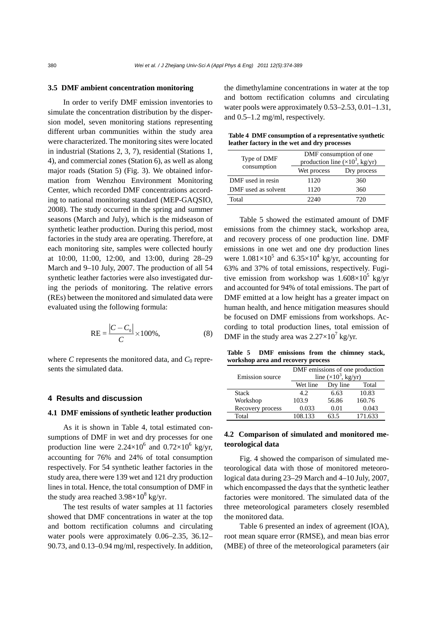#### **3.5 DMF ambient concentration monitoring**

In order to verify DMF emission inventories to simulate the concentration distribution by the dispersion model, seven monitoring stations representing different urban communities within the study area were characterized. The monitoring sites were located in industrial (Stations 2, 3, 7), residential (Stations 1, 4), and commercial zones (Station 6), as well as along major roads (Station 5) (Fig. 3). We obtained information from Wenzhou Environment Monitoring Center, which recorded DMF concentrations according to national monitoring standard (MEP-GAQSIO, 2008). The study occurred in the spring and summer seasons (March and July), which is the midseason of synthetic leather production. During this period, most factories in the study area are operating. Therefore, at each monitoring site, samples were collected hourly at 10:00, 11:00, 12:00, and 13:00, during 28–29 March and 9–10 July, 2007. The production of all 54 synthetic leather factories were also investigated during the periods of monitoring. The relative errors (REs) between the monitored and simulated data were evaluated using the following formula:

$$
RE = \frac{|C - C_0|}{C} \times 100\%,
$$
 (8)

where  $C$  represents the monitored data, and  $C_0$  represents the simulated data.

# **4 Results and discussion**

## **4.1 DMF emissions of synthetic leather production**

As it is shown in Table 4, total estimated consumptions of DMF in wet and dry processes for one production line were  $2.24 \times 10^6$  and  $0.72 \times 10^6$  kg/yr, accounting for 76% and 24% of total consumption respectively. For 54 synthetic leather factories in the study area, there were 139 wet and 121 dry production lines in total. Hence, the total consumption of DMF in the study area reached  $3.98\times10^8$  kg/yr.

The test results of water samples at 11 factories showed that DMF concentrations in water at the top and bottom rectification columns and circulating water pools were approximately 0.06–2.35, 36.12– 90.73, and 0.13–0.94 mg/ml, respectively. In addition, the dimethylamine concentrations in water at the top and bottom rectification columns and circulating water pools were approximately 0.53–2.53, 0.01–1.31, and 0.5–1.2 mg/ml, respectively.

| Table 4 DMF consumption of a representative synthetic |  |
|-------------------------------------------------------|--|
| leather factory in the wet and dry processes          |  |

| Type of DMF         | DMF consumption of one<br>production line $(x10^3, \text{kg/yr})$ |             |  |  |
|---------------------|-------------------------------------------------------------------|-------------|--|--|
| consumption         | Wet process                                                       | Dry process |  |  |
| DMF used in resin   | 1120                                                              | 360         |  |  |
| DMF used as solvent | 1120                                                              | 360         |  |  |
| Total               | 2240                                                              | 720         |  |  |

Table 5 showed the estimated amount of DMF emissions from the chimney stack, workshop area, and recovery process of one production line. DMF emissions in one wet and one dry production lines were  $1.081\times10^5$  and  $6.35\times10^4$  kg/yr, accounting for 63% and 37% of total emissions, respectively. Fugitive emission from workshop was  $1.608 \times 10^5$  kg/yr and accounted for 94% of total emissions. The part of DMF emitted at a low height has a greater impact on human health, and hence mitigation measures should be focused on DMF emissions from workshops. According to total production lines, total emission of DMF in the study area was  $2.27 \times 10^7$  kg/yr.

**Table 5 DMF emissions from the chimney stack, workshop area and recovery process** 

| Emission source  | DMF emissions of one production<br>line $(\times 10^3$ , kg/yr) |          |         |  |  |
|------------------|-----------------------------------------------------------------|----------|---------|--|--|
|                  | Wet line                                                        | Dry line | Total   |  |  |
| Stack            | 4.2.                                                            | 6.63     | 10.83   |  |  |
| Workshop         | 103.9                                                           | 56.86    | 160.76  |  |  |
| Recovery process | 0.033                                                           | 0.01     | 0.043   |  |  |
| Total            | 108.133                                                         | 63.5     | 171.633 |  |  |

# **4.2 Comparison of simulated and monitored meteorological data**

Fig. 4 showed the comparison of simulated meteorological data with those of monitored meteorological data during 23–29 March and 4–10 July, 2007, which encompassed the days that the synthetic leather factories were monitored. The simulated data of the three meteorological parameters closely resembled the monitored data.

Table 6 presented an index of agreement (IOA), root mean square error (RMSE), and mean bias error (MBE) of three of the meteorological parameters (air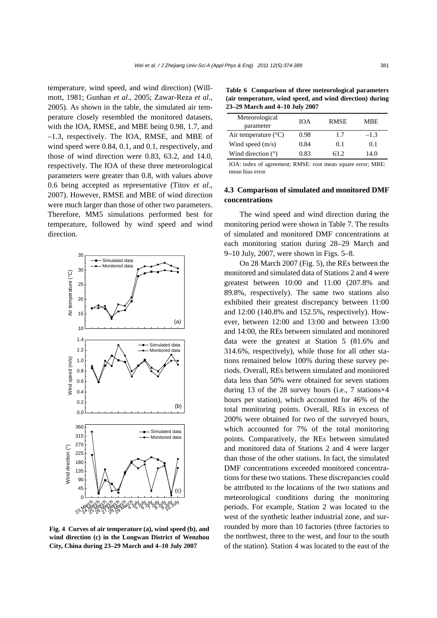temperature, wind speed, and wind direction) (Willmott, 1981; Gunhan *et al*., 2005; Zawar-Reza *et al*., 2005). As shown in the table, the simulated air temperature closely resembled the monitored datasets, with the IOA, RMSE, and MBE being 0.98, 1.7, and –1.3, respectively. The IOA, RMSE, and MBE of wind speed were 0.84, 0.1, and 0.1, respectively, and those of wind direction were 0.83, 63.2, and 14.0, respectively. The IOA of these three meteorological parameters were greater than 0.8, with values above 0.6 being accepted as representative (Titov *et al*., 2007). However, RMSE and MBE of wind direction were much larger than those of other two parameters. Therefore, MM5 simulations performed best for temperature, followed by wind speed and wind direction.



**Fig. 4 Curves of air temperature (a), wind speed (b), and wind direction (c) in the Longwan District of Wenzhou City, China during 23–29 March and 4–10 July 2007** 

**Table 6 Comparison of three meteorological parameters (air temperature, wind speed, and wind direction) during 23–29 March and 4–10 July 2007** 

| Meteorological<br>parameter   | ЮA   | <b>RMSE</b> | MBE    |
|-------------------------------|------|-------------|--------|
| Air temperature $(^{\circ}C)$ | 0.98 | 1.7         | $-1.3$ |
| Wind speed $(m/s)$            | 0.84 | 0.1         | 0.1    |
| Wind direction $(°)$          | 0.83 | 63.2        | 14.0   |

IOA: index of agreement; RMSE: root mean square error; MBE: mean bias error

# **4.3 Comparison of simulated and monitored DMF concentrations**

The wind speed and wind direction during the monitoring period were shown in Table 7. The results of simulated and monitored DMF concentrations at each monitoring station during 28–29 March and 9–10 July, 2007, were shown in Figs. 5–8.

On 28 March 2007 (Fig. 5), the REs between the monitored and simulated data of Stations 2 and 4 were greatest between 10:00 and 11:00 (207.8% and 89.8%, respectively). The same two stations also exhibited their greatest discrepancy between 11:00 and 12:00 (140.8% and 152.5%, respectively). However, between 12:00 and 13:00 and between 13:00 and 14:00, the REs between simulated and monitored data were the greatest at Station 5 (81.6% and 314.6%, respectively), while those for all other stations remained below 100% during these survey periods. Overall, REs between simulated and monitored data less than 50% were obtained for seven stations during 13 of the 28 survey hours (i.e., 7 stations×4 hours per station), which accounted for 46% of the total monitoring points. Overall, REs in excess of 200% were obtained for two of the surveyed hours, which accounted for 7% of the total monitoring points. Comparatively, the REs between simulated and monitored data of Stations 2 and 4 were larger than those of the other stations. In fact, the simulated DMF concentrations exceeded monitored concentrations for these two stations. These discrepancies could be attributed to the locations of the two stations and meteorological conditions during the monitoring periods. For example, Station 2 was located to the west of the synthetic leather industrial zone, and surrounded by more than 10 factories (three factories to the northwest, three to the west, and four to the south of the station). Station 4 was located to the east of the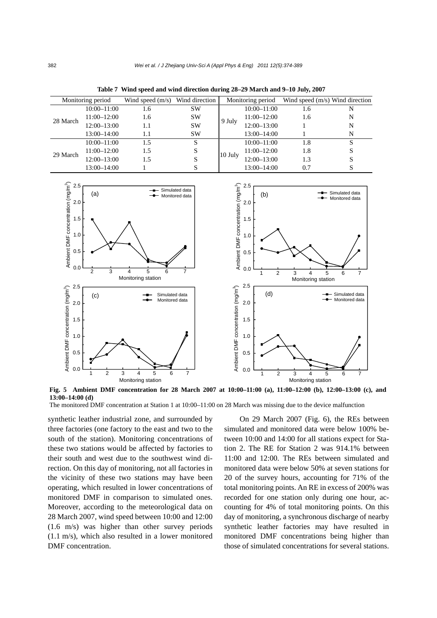| Monitoring period |                 | Wind speed $(m/s)$ Wind direction |           | Monitoring period |                 | Wind speed $(m/s)$ Wind direction |   |
|-------------------|-----------------|-----------------------------------|-----------|-------------------|-----------------|-----------------------------------|---|
|                   | $10:00 - 11:00$ | 1.6                               | <b>SW</b> |                   | $10:00 - 11:00$ | 1.6                               | N |
| 28 March          | 11:00–12:00     | 1.6                               | <b>SW</b> | 9 July            | $11:00 - 12:00$ | 1.6                               | N |
|                   | $12:00 - 13:00$ | 1.1                               | <b>SW</b> |                   | $12:00 - 13:00$ |                                   | N |
|                   | 13:00–14:00     | 1.1                               | <b>SW</b> |                   | $13:00 - 14:00$ |                                   | N |
|                   | $10:00 - 11:00$ | 1.5                               | S         | $10$ July         | $10:00 - 11:00$ | 1.8                               | S |
| 29 March          | $11:00 - 12:00$ | 1.5                               | S         |                   | 11:00-12:00     | 1.8                               | S |
|                   | $12:00 - 13:00$ | 1.5                               |           |                   | $12:00 - 13:00$ | 1.3                               |   |
|                   | 13:00–14:00     |                                   |           |                   | 13:00-14:00     | 0.7                               |   |

**Table 7 Wind speed and wind direction during 28–29 March and 9–10 July, 2007**



**Fig. 5 Ambient DMF concentration for 28 March 2007 at 10:00–11:00 (a), 11:00–12:00 (b), 12:00–13:00 (c), and 13:00–14:00 (d)** 

The monitored DMF concentration at Station 1 at 10:00–11:00 on 28 March was missing due to the device malfunction

synthetic leather industrial zone, and surrounded by three factories (one factory to the east and two to the south of the station). Monitoring concentrations of these two stations would be affected by factories to their south and west due to the southwest wind direction. On this day of monitoring, not all factories in the vicinity of these two stations may have been operating, which resulted in lower concentrations of monitored DMF in comparison to simulated ones. Moreover, according to the meteorological data on 28 March 2007, wind speed between 10:00 and 12:00 (1.6 m/s) was higher than other survey periods (1.1 m/s), which also resulted in a lower monitored DMF concentration.

On 29 March 2007 (Fig. 6), the REs between simulated and monitored data were below 100% between 10:00 and 14:00 for all stations expect for Station 2. The RE for Station 2 was 914.1% between 11:00 and 12:00. The REs between simulated and monitored data were below 50% at seven stations for 20 of the survey hours, accounting for 71% of the total monitoring points. An RE in excess of 200% was recorded for one station only during one hour, accounting for 4% of total monitoring points. On this day of monitoring, a synchronous discharge of nearby synthetic leather factories may have resulted in monitored DMF concentrations being higher than those of simulated concentrations for several stations.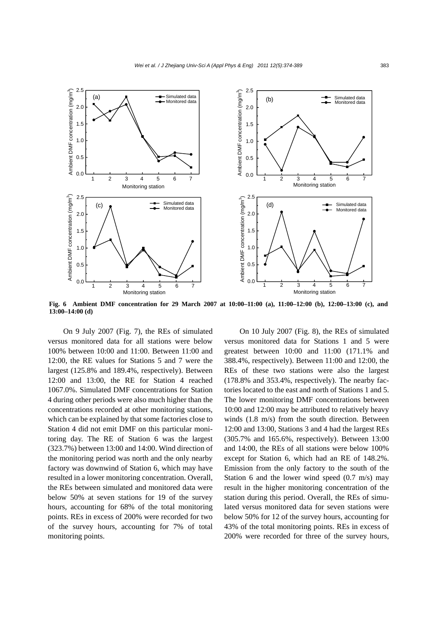

**Fig. 6 Ambient DMF concentration for 29 March 2007 at 10:00–11:00 (a), 11:00–12:00 (b), 12:00–13:00 (c), and 13:00–14:00 (d)** 

On 9 July 2007 (Fig. 7), the REs of simulated versus monitored data for all stations were below 100% between 10:00 and 11:00. Between 11:00 and 12:00, the RE values for Stations 5 and 7 were the largest (125.8% and 189.4%, respectively). Between 12:00 and 13:00, the RE for Station 4 reached 1067.0%. Simulated DMF concentrations for Station 4 during other periods were also much higher than the concentrations recorded at other monitoring stations, which can be explained by that some factories close to Station 4 did not emit DMF on this particular monitoring day. The RE of Station 6 was the largest (323.7%) between 13:00 and 14:00. Wind direction of the monitoring period was north and the only nearby factory was downwind of Station 6, which may have resulted in a lower monitoring concentration. Overall, the REs between simulated and monitored data were below 50% at seven stations for 19 of the survey hours, accounting for 68% of the total monitoring points. REs in excess of 200% were recorded for two of the survey hours, accounting for 7% of total monitoring points.

On 10 July 2007 (Fig. 8), the REs of simulated versus monitored data for Stations 1 and 5 were greatest between 10:00 and 11:00 (171.1% and 388.4%, respectively). Between 11:00 and 12:00, the REs of these two stations were also the largest (178.8% and 353.4%, respectively). The nearby factories located to the east and north of Stations 1 and 5. The lower monitoring DMF concentrations between 10:00 and 12:00 may be attributed to relatively heavy winds (1.8 m/s) from the south direction. Between 12:00 and 13:00, Stations 3 and 4 had the largest REs (305.7% and 165.6%, respectively). Between 13:00 and 14:00, the REs of all stations were below 100% except for Station 6, which had an RE of 148.2%. Emission from the only factory to the south of the Station 6 and the lower wind speed (0.7 m/s) may result in the higher monitoring concentration of the station during this period. Overall, the REs of simulated versus monitored data for seven stations were below 50% for 12 of the survey hours, accounting for 43% of the total monitoring points. REs in excess of 200% were recorded for three of the survey hours,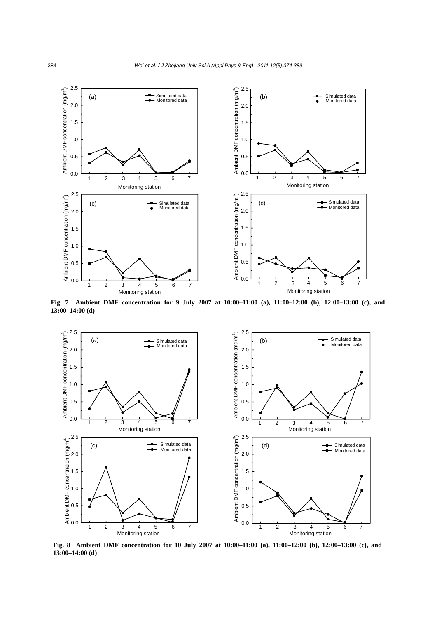

**Fig. 7 Ambient DMF concentration for 9 July 2007 at 10:00–11:00 (a), 11:00–12:00 (b), 12:00–13:00 (c), and 13:00–14:00 (d)**



**Fig. 8 Ambient DMF concentration for 10 July 2007 at 10:00–11:00 (a), 11:00–12:00 (b), 12:00–13:00 (c), and 13:00–14:00 (d)**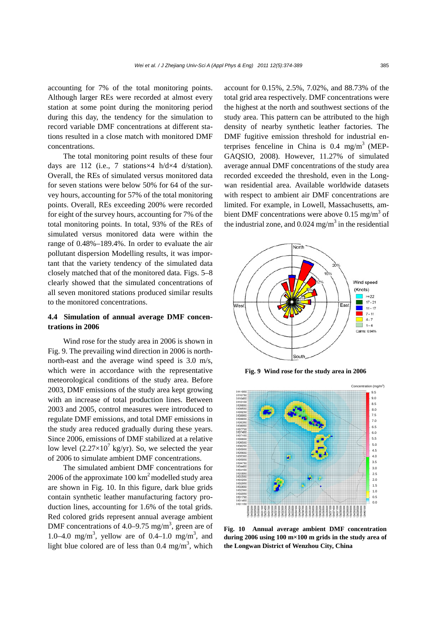accounting for 7% of the total monitoring points. Although larger REs were recorded at almost every station at some point during the monitoring period during this day, the tendency for the simulation to record variable DMF concentrations at different stations resulted in a close match with monitored DMF concentrations.

The total monitoring point results of these four days are 112 (i.e., 7 stations×4 h/d×4 d/station). Overall, the REs of simulated versus monitored data for seven stations were below 50% for 64 of the survey hours, accounting for 57% of the total monitoring points. Overall, REs exceeding 200% were recorded for eight of the survey hours, accounting for 7% of the total monitoring points. In total, 93% of the REs of simulated versus monitored data were within the range of 0.48%–189.4%. In order to evaluate the air pollutant dispersion Modelling results, it was important that the variety tendency of the simulated data closely matched that of the monitored data. Figs. 5–8 clearly showed that the simulated concentrations of all seven monitored stations produced similar results to the monitored concentrations.

# **4.4 Simulation of annual average DMF concentrations in 2006**

Wind rose for the study area in 2006 is shown in Fig. 9. The prevailing wind direction in 2006 is northnorth-east and the average wind speed is 3.0 m/s, which were in accordance with the representative meteorological conditions of the study area. Before 2003, DMF emissions of the study area kept growing with an increase of total production lines. Between 2003 and 2005, control measures were introduced to regulate DMF emissions, and total DMF emissions in the study area reduced gradually during these years. Since 2006, emissions of DMF stabilized at a relative low level  $(2.27\times10^7 \text{ kg/yr})$ . So, we selected the year of 2006 to simulate ambient DMF concentrations.

The simulated ambient DMF concentrations for 2006 of the approximate  $100 \text{ km}^2$  modelled study area are shown in Fig. 10. In this figure, dark blue grids contain synthetic leather manufacturing factory production lines, accounting for 1.6% of the total grids. Red colored grids represent annual average ambient DMF concentrations of 4.0–9.75 mg/m<sup>3</sup>, green are of 1.0–4.0 mg/m<sup>3</sup>, yellow are of 0.4–1.0 mg/m<sup>3</sup>, and light blue colored are of less than  $0.4 \text{ mg/m}^3$ , which account for 0.15%, 2.5%, 7.02%, and 88.73% of the total grid area respectively. DMF concentrations were the highest at the north and southwest sections of the study area. This pattern can be attributed to the high density of nearby synthetic leather factories. The DMF fugitive emission threshold for industrial enterprises fenceline in China is  $0.4 \text{ mg/m}^3$  (MEP-GAQSIO, 2008). However, 11.27% of simulated average annual DMF concentrations of the study area recorded exceeded the threshold, even in the Longwan residential area. Available worldwide datasets with respect to ambient air DMF concentrations are limited. For example, in Lowell, Massachusetts, ambient DMF concentrations were above 0.15 mg/m<sup>3</sup> of the industrial zone, and  $0.024$  mg/m<sup>3</sup> in the residential



**Fig. 9 Wind rose for the study area in 2006**



**Fig. 10 Annual average ambient DMF concentration during 2006 using 100 m×100 m grids in the study area of the Longwan District of Wenzhou City, China**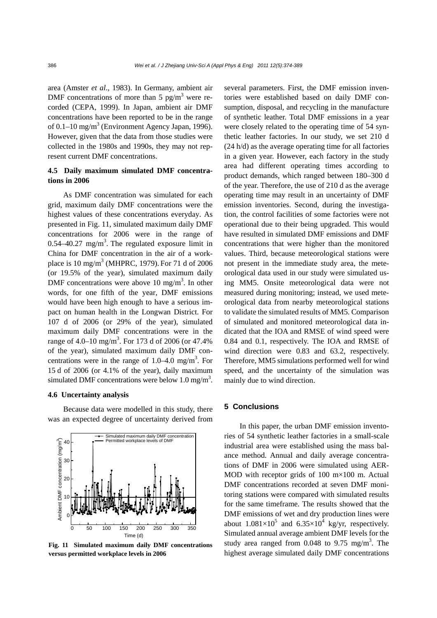area (Amster *et al*., 1983). In Germany, ambient air DMF concentrations of more than 5  $pg/m<sup>3</sup>$  were recorded (CEPA, 1999). In Japan, ambient air DMF concentrations have been reported to be in the range of 0.1–10 mg/m<sup>3</sup> (Environment Agency Japan, 1996). However, given that the data from those studies were collected in the 1980s and 1990s, they may not represent current DMF concentrations.

## **4.5 Daily maximum simulated DMF concentrations in 2006**

As DMF concentration was simulated for each grid, maximum daily DMF concentrations were the highest values of these concentrations everyday. As presented in Fig. 11, simulated maximum daily DMF concentrations for 2006 were in the range of  $0.54 - 40.27$  mg/m<sup>3</sup>. The regulated exposure limit in China for DMF concentration in the air of a workplace is 10 mg/m<sup>3</sup> (MHPRC, 1979). For 71 d of 2006 (or 19.5% of the year), simulated maximum daily DMF concentrations were above 10 mg/m<sup>3</sup>. In other words, for one fifth of the year, DMF emissions would have been high enough to have a serious impact on human health in the Longwan District. For 107 d of 2006 (or 29% of the year), simulated maximum daily DMF concentrations were in the range of 4.0–10 mg/m<sup>3</sup>. For 173 d of 2006 (or 47.4% of the year), simulated maximum daily DMF concentrations were in the range of 1.0–4.0 mg/m<sup>3</sup>. For 15 d of 2006 (or 4.1% of the year), daily maximum simulated DMF concentrations were below 1.0 mg/m<sup>3</sup>.

#### **4.6 Uncertainty analysis**

Because data were modelled in this study, there was an expected degree of uncertainty derived from



**Fig. 11 Simulated maximum daily DMF concentrations versus permitted workplace levels in 2006** 

several parameters. First, the DMF emission inventories were established based on daily DMF consumption, disposal, and recycling in the manufacture of synthetic leather. Total DMF emissions in a year were closely related to the operating time of 54 synthetic leather factories. In our study, we set 210 d (24 h/d) as the average operating time for all factories in a given year. However, each factory in the study area had different operating times according to product demands, which ranged between 180–300 d of the year. Therefore, the use of 210 d as the average operating time may result in an uncertainty of DMF emission inventories. Second, during the investigation, the control facilities of some factories were not operational due to their being upgraded. This would have resulted in simulated DMF emissions and DMF concentrations that were higher than the monitored values. Third, because meteorological stations were not present in the immediate study area, the meteorological data used in our study were simulated using MM5. Onsite meteorological data were not measured during monitoring; instead, we used meteorological data from nearby meteorological stations to validate the simulated results of MM5. Comparison of simulated and monitored meteorological data indicated that the IOA and RMSE of wind speed were 0.84 and 0.1, respectively. The IOA and RMSE of wind direction were 0.83 and 63.2, respectively. Therefore, MM5 simulations performed well for wind speed, and the uncertainty of the simulation was mainly due to wind direction.

## **5 Conclusions**

In this paper, the urban DMF emission inventories of 54 synthetic leather factories in a small-scale industrial area were established using the mass balance method. Annual and daily average concentrations of DMF in 2006 were simulated using AER-MOD with receptor grids of 100 m×100 m. Actual DMF concentrations recorded at seven DMF monitoring stations were compared with simulated results for the same timeframe. The results showed that the DMF emissions of wet and dry production lines were about  $1.081 \times 10^5$  and  $6.35 \times 10^4$  kg/yr, respectively. Simulated annual average ambient DMF levels for the study area ranged from  $0.048$  to  $9.75$  mg/m<sup>3</sup>. The highest average simulated daily DMF concentrations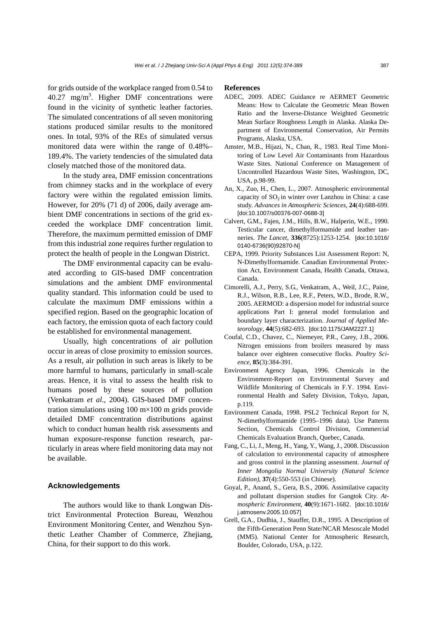for grids outside of the workplace ranged from 0.54 to  $40.27$  mg/m<sup>3</sup>. Higher DMF concentrations were found in the vicinity of synthetic leather factories. The simulated concentrations of all seven monitoring stations produced similar results to the monitored ones. In total, 93% of the REs of simulated versus monitored data were within the range of 0.48%– 189.4%. The variety tendencies of the simulated data closely matched those of the monitored data.

In the study area, DMF emission concentrations from chimney stacks and in the workplace of every factory were within the regulated emission limits. However, for 20% (71 d) of 2006, daily average ambient DMF concentrations in sections of the grid exceeded the workplace DMF concentration limit. Therefore, the maximum permitted emission of DMF from this industrial zone requires further regulation to protect the health of people in the Longwan District.

The DMF environmental capacity can be evaluated according to GIS-based DMF concentration simulations and the ambient DMF environmental quality standard. This information could be used to calculate the maximum DMF emissions within a specified region. Based on the geographic location of each factory, the emission quota of each factory could be established for environmental management.

Usually, high concentrations of air pollution occur in areas of close proximity to emission sources. As a result, air pollution in such areas is likely to be more harmful to humans, particularly in small-scale areas. Hence, it is vital to assess the health risk to humans posed by these sources of pollution (Venkatram *et al*., 2004). GIS-based DMF concentration simulations using  $100 \text{ m} \times 100 \text{ m}$  grids provide detailed DMF concentration distributions against which to conduct human health risk assessments and human exposure-response function research, particularly in areas where field monitoring data may not be available.

## **Acknowledgements**

The authors would like to thank Longwan District Environmental Protection Bureau, Wenzhou Environment Monitoring Center, and Wenzhou Synthetic Leather Chamber of Commerce, Zhejiang, China, for their support to do this work.

#### **References**

- ADEC, 2009. ADEC Guidance re AERMET Geometric Means: How to Calculate the Geometric Mean Bowen Ratio and the Inverse-Distance Weighted Geometric Mean Surface Roughness Length in Alaska. Alaska Department of Environmental Conservation, Air Permits Programs, Alaska, USA.
- Amster, M.B., Hijazi, N., Chan, R., 1983. Real Time Monitoring of Low Level Air Contaminants from Hazardous Waste Sites. National Conference on Management of Uncontrolled Hazardous Waste Sites, Washington, DC, USA, p.98-99.
- An, X., Zuo, H., Chen, L., 2007. Atmospheric environmental capacity of  $SO_2$  in winter over Lanzhou in China: a case study. *Advances in Atmospheric Sciences*, **24**(4):688-699. [doi:10.1007/s00376-007-0688-3]
- Calvert, G.M., Fajen, J.M., Hills, B.W., Halperin, W.E., 1990. Testicular cancer, dimethylformamide and leather tanneries. *The Lancet*, **336**(8725):1253-1254. [doi:10.1016/ 0140-6736(90)92870-N]
- CEPA, 1999. Priority Substances List Assessment Report: N, N-Dimethylformamide. Canadian Environmental Protection Act, Environment Canada, Health Canada, Ottawa, Canada.
- Cimorelli, A.J., Perry, S.G., Venkatram, A., Weil, J.C., Paine, R.J., Wilson, R.B., Lee, R.F., Peters, W.D., Brode, R.W., 2005. AERMOD: a dispersion model for industrial source applications Part I: general model formulation and boundary layer characterization. *Journal of Applied Meteorology*, **44**(5):682-693. [doi:10.1175/JAM2227.1]
- Coufal, C.D., Chavez, C., Niemeyer, P.R., Carey, J.B., 2006. Nitrogen emissions from broilers measured by mass balance over eighteen consecutive flocks. *Poultry Science*, **85**(3):384-391.
- Environment Agency Japan, 1996. Chemicals in the Environment-Report on Environmental Survey and Wildlife Monitoring of Chemicals in F.Y. 1994. Environmental Health and Safety Division, Tokyo, Japan, p.119.
- Environment Canada, 1998. PSL2 Technical Report for N, N-dimethylformamide (1995–1996 data). Use Patterns Section, Chemicals Control Division, Commercial Chemicals Evaluation Branch, Quebec, Canada.
- Fang, C., Li, J., Meng, H., Yang, Y., Wang, J., 2008. Discussion of calculation to environmental capacity of atmosphere and gross control in the planning assessment. *Journal of Inner Mongolia Normal University (Natural Science Edition)*, **37**(4):550-553 (in Chinese).
- Goyal, P., Anand, S., Gera, B.S., 2006. Assimilative capacity and pollutant dispersion studies for Gangtok City. *Atmospheric Environment*, **40**(9):1671-1682. [doi:10.1016/ j.atmosenv.2005.10.057]
- Grell, G.A., Dudhia, J., Stauffer, D.R., 1995. A Description of the Fifth-Generation Penn State/NCAR Mesoscale Model (MM5). National Center for Atmospheric Research, Boulder, Colorado, USA, p.122.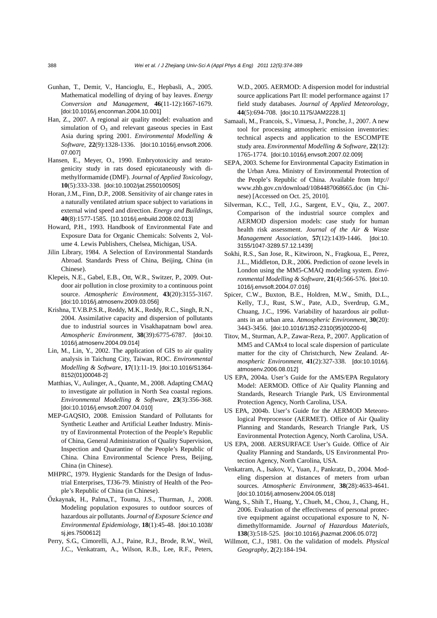- Gunhan, T., Demir, V., Hancioglu, E., Hepbasli, A., 2005. Mathematical modelling of drying of bay leaves. *Energy Conversion and Management*, **46**(11-12):1667-1679. [doi:10.1016/j.enconman.2004.10.001]
- Han, Z., 2007. A regional air quality model: evaluation and simulation of  $O_3$  and relevant gaseous species in East Asia during spring 2001. *Environmental Modelling & Software*, **22**(9):1328-1336. [doi:10.1016/j.envsoft.2006. 07.007]
- Hansen, E., Meyer, O., 1990. Embryotoxicity and teratogenicity study in rats dosed epicutaneously with dimethylformamide (DMF). *Journal of Applied Toxicology*, **10**(5):333-338. [doi:10.1002/jat.2550100505]
- Horan, J.M., Finn, D.P., 2008. Sensitivity of air change rates in a naturally ventilated atrium space subject to variations in external wind speed and direction. *Energy and Buildings*, **40**(8):1577-1585. [10.1016/j.enbuild.2008.02.013]
- Howard, P.H., 1993. Handbook of Environmental Fate and Exposure Data for Organic Chemicals: Solvents 2, Volume 4. Lewis Publishers, Chelsea, Michigan, USA.
- Jilin Library, 1984. A Selection of Environmental Standards Abroad. Standards Press of China, Beijing, China (in Chinese).
- Klepeis, N.E., Gabel, E.B., Ott, W.R., Switzer, P., 2009. Outdoor air pollution in close proximity to a continuous point source. *Atmospheric Environment*, **43**(20):3155-3167. [doi:10.1016/j.atmosenv.2009.03.056]
- Krishna, T.V.B.P.S.R., Reddy, M.K., Reddy, R.C., Singh, R.N., 2004. Assimilative capacity and dispersion of pollutants due to industrial sources in Visakhapatnam bowl area. *Atmospheric Environment*, **38**(39):6775-6787. [doi:10. 1016/j.atmosenv.2004.09.014]
- Lin, M., Lin, Y., 2002. The application of GIS to air quality analysis in Taichung City, Taiwan, ROC. *Environmental Modelling & Software*, **17**(1):11-19. [doi:10.1016/S1364- 8152(01)00048-2]
- Matthias, V., Aulinger, A., Quante, M., 2008. Adapting CMAQ to investigate air pollution in North Sea coastal regions. *Environmental Modelling & Software*, **23**(3):356-368. [doi:10.1016/j.envsoft.2007.04.010]
- MEP-GAQSIO, 2008. Emission Standard of Pollutants for Synthetic Leather and Artificial Leather Industry. Ministry of Environmental Protection of the People's Republic of China, General Administration of Quality Supervision, Inspection and Quarantine of the People's Republic of China. China Environmental Science Press, Beijing, China (in Chinese).
- MHPRC, 1979. Hygienic Standards for the Design of Industrial Enterprises, TJ36-79. Ministry of Health of the People's Republic of China (in Chinese).
- Őzkaynak, H., Palma,T., Touma, J.S., Thurman, J., 2008. Modeling population exposures to outdoor sources of hazardous air pollutants. *Journal of Exposure Science and Environmental Epidemiology*, **18**(1):45-48. [doi:10.1038/ sj.jes.7500612]
- Perry, S.G., Cimorelli, A.J., Paine, R.J., Brode, R.W., Weil, J.C., Venkatram, A., Wilson, R.B., Lee, R.F., Peters,

W.D., 2005. AERMOD: A dispersion model for industrial source applications Part II: model performance against 17 field study databases. *Journal of Applied Meteorology*, **44**(5):694-708. [doi:10.1175/JAM2228.1]

- Samaali, M., Francois, S., Vinuesa, J., Ponche, J., 2007. A new tool for processing atmospheric emission inventories: technical aspects and application to the ESCOMPTE study area. *Environmental Modelling & Software*, **22**(12): 1765-1774. [doi:10.1016/j.envsoft.2007.02.009]
- SEPA, 2003. Scheme for Environmental Capacity Estimation in the Urban Area. Ministry of Environmental Protection of the People's Republic of China. Available from http:// www.zhb.gov.cn/download/1084487068665.doc (in Chinese) [Accessed on Oct. 25, 2010].
- Silverman, K.C., Tell, J.G., Sargent, E.V., Qiu, Z., 2007. Comparison of the industrial source complex and AERMOD dispersion models: case study for human health risk assessment. *Journal of the Air & Waste Management Association*, **57**(12):1439-1446. [doi:10. 3155/1047-3289.57.12.1439]
- Sokhi, R.S., San Jose, R., Kitwiroon, N., Fragkoua, E., Perez, J.L., Middleton, D.R., 2006. Prediction of ozone levels in London using the MM5-CMAQ modeling system. *Environmental Modelling & Software*, **21**(4):566-576. [doi:10. 1016/j.envsoft.2004.07.016]
- Spicer, C.W., Buxton, B.E., Holdren, M.W., Smith, D.L., Kelly, T.J., Rust, S.W., Pate, A.D., Sverdrup, G.M., Chuang, J.C., 1996. Variability of hazardous air pollutants in an urban area. *Atmospheric Environment*, **30**(20): 3443-3456. [doi:10.1016/1352-2310(95)00200-6]
- Titov, M., Sturman, A.P., Zawar-Reza, P., 2007. Application of MM5 and CAMx4 to local scale dispersion of particulate matter for the city of Christchurch, New Zealand. *Atmospheric Environment*, **41**(2):327-338. [doi:10.1016/j. atmosenv.2006.08.012]
- US EPA, 2004a. User's Guide for the AMS/EPA Regulatory Model: AERMOD. Office of Air Quality Planning and Standards, Research Triangle Park, US Environmental Protection Agency, North Carolina, USA.
- US EPA, 2004b. User's Guide for the AERMOD Meteorological Preprocessor (AERMET). Office of Air Quality Planning and Standards, Research Triangle Park, US Environmental Protection Agency, North Carolina, USA.
- US EPA, 2008. AERSURFACE User's Guide. Office of Air Quality Planning and Standards, US Environmental Protection Agency, North Carolina, USA.
- Venkatram, A., Isakov, V., Yuan, J., Pankratz, D., 2004. Modeling dispersion at distances of meters from urban sources. *Atmospheric Environment*, **38**(28):4633-4641. [doi:10.1016/j.atmosenv.2004.05.018]
- Wang, S., Shih T., Huang, Y., Chueh, M., Chou, J., Chang, H., 2006. Evaluation of the effectiveness of personal protective equipment against occupational exposure to N, Ndimethylformamide. *Journal of Hazardous Materials*, **138**(3):518-525. [doi:10.1016/j.jhazmat.2006.05.072]
- Willmott, C.J., 1981. On the validation of models. *Physical Geography*, **2**(2):184-194.